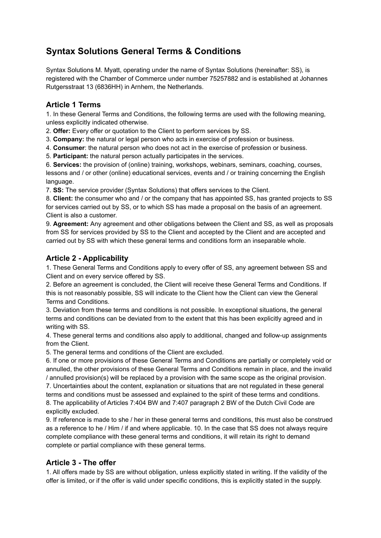# **Syntax Solutions General Terms & Conditions**

Syntax Solutions M. Myatt, operating under the name of Syntax Solutions (hereinafter: SS), is registered with the Chamber of Commerce under number 75257882 and is established at Johannes Rutgersstraat 13 (6836HH) in Arnhem, the Netherlands.

### **Article 1 Terms**

1. In these General Terms and Conditions, the following terms are used with the following meaning, unless explicitly indicated otherwise.

2. **Offer:** Every offer or quotation to the Client to perform services by SS.

3. **Company:** the natural or legal person who acts in exercise of profession or business.

4. **Consumer**: the natural person who does not act in the exercise of profession or business.

5. **Participant:** the natural person actually participates in the services.

6. **Services:** the provision of (online) training, workshops, webinars, seminars, coaching, courses, lessons and / or other (online) educational services, events and / or training concerning the English language.

7. **SS:** The service provider (Syntax Solutions) that offers services to the Client.

8. **Client:** the consumer who and / or the company that has appointed SS, has granted projects to SS for services carried out by SS, or to which SS has made a proposal on the basis of an agreement. Client is also a customer.

9. **Agreement:** Any agreement and other obligations between the Client and SS, as well as proposals from SS for services provided by SS to the Client and accepted by the Client and are accepted and carried out by SS with which these general terms and conditions form an inseparable whole.

### **Article 2 - Applicability**

1. These General Terms and Conditions apply to every offer of SS, any agreement between SS and Client and on every service offered by SS.

2. Before an agreement is concluded, the Client will receive these General Terms and Conditions. If this is not reasonably possible, SS will indicate to the Client how the Client can view the General Terms and Conditions.

3. Deviation from these terms and conditions is not possible. In exceptional situations, the general terms and conditions can be deviated from to the extent that this has been explicitly agreed and in writing with SS.

4. These general terms and conditions also apply to additional, changed and follow-up assignments from the Client.

5. The general terms and conditions of the Client are excluded.

6. If one or more provisions of these General Terms and Conditions are partially or completely void or annulled, the other provisions of these General Terms and Conditions remain in place, and the invalid / annulled provision(s) will be replaced by a provision with the same scope as the original provision.

7. Uncertainties about the content, explanation or situations that are not regulated in these general terms and conditions must be assessed and explained to the spirit of these terms and conditions. 8. The applicability of Articles 7:404 BW and 7:407 paragraph 2 BW of the Dutch Civil Code are explicitly excluded.

9. If reference is made to she / her in these general terms and conditions, this must also be construed as a reference to he / Him / if and where applicable. 10. In the case that SS does not always require complete compliance with these general terms and conditions, it will retain its right to demand complete or partial compliance with these general terms.

### **Article 3 - The offer**

1. All offers made by SS are without obligation, unless explicitly stated in writing. If the validity of the offer is limited, or if the offer is valid under specific conditions, this is explicitly stated in the supply.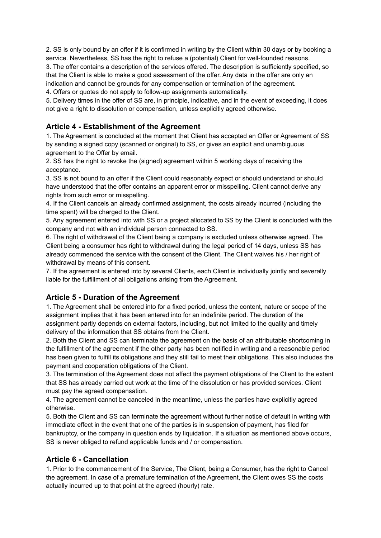2. SS is only bound by an offer if it is confirmed in writing by the Client within 30 days or by booking a service. Nevertheless, SS has the right to refuse a (potential) Client for well-founded reasons.

3. The offer contains a description of the services offered. The description is sufficiently specified, so that the Client is able to make a good assessment of the offer. Any data in the offer are only an indication and cannot be grounds for any compensation or termination of the agreement.

4. Offers or quotes do not apply to follow-up assignments automatically.

5. Delivery times in the offer of SS are, in principle, indicative, and in the event of exceeding, it does not give a right to dissolution or compensation, unless explicitly agreed otherwise.

### **Article 4 - Establishment of the Agreement**

1. The Agreement is concluded at the moment that Client has accepted an Offer or Agreement of SS by sending a signed copy (scanned or original) to SS, or gives an explicit and unambiguous agreement to the Offer by email.

2. SS has the right to revoke the (signed) agreement within 5 working days of receiving the acceptance.

3. SS is not bound to an offer if the Client could reasonably expect or should understand or should have understood that the offer contains an apparent error or misspelling. Client cannot derive any rights from such error or misspelling.

4. If the Client cancels an already confirmed assignment, the costs already incurred (including the time spent) will be charged to the Client.

5. Any agreement entered into with SS or a project allocated to SS by the Client is concluded with the company and not with an individual person connected to SS.

6. The right of withdrawal of the Client being a company is excluded unless otherwise agreed. The Client being a consumer has right to withdrawal during the legal period of 14 days, unless SS has already commenced the service with the consent of the Client. The Client waives his / her right of withdrawal by means of this consent.

7. If the agreement is entered into by several Clients, each Client is individually jointly and severally liable for the fulfillment of all obligations arising from the Agreement.

### **Article 5 - Duration of the Agreement**

1. The Agreement shall be entered into for a fixed period, unless the content, nature or scope of the assignment implies that it has been entered into for an indefinite period. The duration of the assignment partly depends on external factors, including, but not limited to the quality and timely delivery of the information that SS obtains from the Client.

2. Both the Client and SS can terminate the agreement on the basis of an attributable shortcoming in the fulfillment of the agreement if the other party has been notified in writing and a reasonable period has been given to fulfill its obligations and they still fail to meet their obligations. This also includes the payment and cooperation obligations of the Client.

3. The termination of the Agreement does not affect the payment obligations of the Client to the extent that SS has already carried out work at the time of the dissolution or has provided services. Client must pay the agreed compensation.

4. The agreement cannot be canceled in the meantime, unless the parties have explicitly agreed otherwise.

5. Both the Client and SS can terminate the agreement without further notice of default in writing with immediate effect in the event that one of the parties is in suspension of payment, has filed for bankruptcy, or the company in question ends by liquidation. If a situation as mentioned above occurs, SS is never obliged to refund applicable funds and / or compensation.

#### **Article 6 - Cancellation**

1. Prior to the commencement of the Service, The Client, being a Consumer, has the right to Cancel the agreement. In case of a premature termination of the Agreement, the Client owes SS the costs actually incurred up to that point at the agreed (hourly) rate.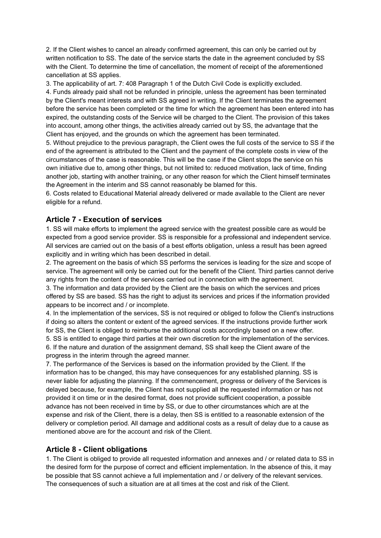2. If the Client wishes to cancel an already confirmed agreement, this can only be carried out by written notification to SS. The date of the service starts the date in the agreement concluded by SS with the Client. To determine the time of cancellation, the moment of receipt of the aforementioned cancellation at SS applies.

3. The applicability of art. 7: 408 Paragraph 1 of the Dutch Civil Code is explicitly excluded.

4. Funds already paid shall not be refunded in principle, unless the agreement has been terminated by the Client's meant interests and with SS agreed in writing. If the Client terminates the agreement before the service has been completed or the time for which the agreement has been entered into has expired, the outstanding costs of the Service will be charged to the Client. The provision of this takes into account, among other things, the activities already carried out by SS, the advantage that the Client has enjoyed, and the grounds on which the agreement has been terminated.

5. Without prejudice to the previous paragraph, the Client owes the full costs of the service to SS if the end of the agreement is attributed to the Client and the payment of the complete costs in view of the circumstances of the case is reasonable. This will be the case if the Client stops the service on his own initiative due to, among other things, but not limited to: reduced motivation, lack of time, finding another job, starting with another training, or any other reason for which the Client himself terminates the Agreement in the interim and SS cannot reasonably be blamed for this.

6. Costs related to Educational Material already delivered or made available to the Client are never eligible for a refund.

#### **Article 7 - Execution of services**

1. SS will make efforts to implement the agreed service with the greatest possible care as would be expected from a good service provider. SS is responsible for a professional and independent service. All services are carried out on the basis of a best efforts obligation, unless a result has been agreed explicitly and in writing which has been described in detail.

2. The agreement on the basis of which SS performs the services is leading for the size and scope of service. The agreement will only be carried out for the benefit of the Client. Third parties cannot derive any rights from the content of the services carried out in connection with the agreement.

3. The information and data provided by the Client are the basis on which the services and prices offered by SS are based. SS has the right to adjust its services and prices if the information provided appears to be incorrect and / or incomplete.

4. In the implementation of the services, SS is not required or obliged to follow the Client's instructions if doing so alters the content or extent of the agreed services. If the instructions provide further work for SS, the Client is obliged to reimburse the additional costs accordingly based on a new offer.

5. SS is entitled to engage third parties at their own discretion for the implementation of the services. 6. If the nature and duration of the assignment demand, SS shall keep the Client aware of the progress in the interim through the agreed manner.

7. The performance of the Services is based on the information provided by the Client. If the information has to be changed, this may have consequences for any established planning. SS is never liable for adjusting the planning. If the commencement, progress or delivery of the Services is delayed because, for example, the Client has not supplied all the requested information or has not provided it on time or in the desired format, does not provide sufficient cooperation, a possible advance has not been received in time by SS, or due to other circumstances which are at the expense and risk of the Client, there is a delay, then SS is entitled to a reasonable extension of the delivery or completion period. All damage and additional costs as a result of delay due to a cause as mentioned above are for the account and risk of the Client.

#### **Article 8 - Client obligations**

1. The Client is obliged to provide all requested information and annexes and / or related data to SS in the desired form for the purpose of correct and efficient implementation. In the absence of this, it may be possible that SS cannot achieve a full implementation and / or delivery of the relevant services. The consequences of such a situation are at all times at the cost and risk of the Client.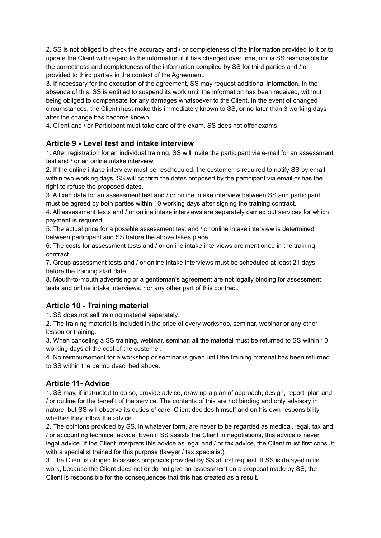2. SS is not obliged to check the accuracy and / or completeness of the information provided to it or to update the Client with regard to the information if it has changed over time, nor is SS responsible for the correctness and completeness of the information compiled by SS for third parties and / or provided to third parties in the context of the Agreement.

3. If necessary for the execution of the agreement, SS may request additional information. In the absence of this, SS is entitled to suspend its work until the information has been received, without being obliged to compensate for any damages whatsoever to the Client. In the event of changed circumstances, the Client must make this immediately known to SS, or no later than 3 working days after the change has become known.

4. Client and / or Participant must take care of the exam. SS does not offer exams.

### **Article 9 - Level test and intake interview**

1. After registration for an individual training, SS will invite the participant via e-mail for an assessment test and / or an online intake interview.

2. If the online intake interview must be rescheduled, the customer is required to notify SS by email within two working days. SS will confirm the dates proposed by the participant via email or has the right to refuse the proposed dates.

3. A fixed date for an assessment test and / or online intake interview between SS and participant must be agreed by both parties within 10 working days after signing the training contract.

4. All assessment tests and / or online intake interviews are separately carried out services for which payment is required.

5. The actual price for a possible assessment test and / or online intake interview is determined between participant and SS before the above takes place.

6. The costs for assessment tests and / or online intake interviews are mentioned in the training contract.

7. Group assessment tests and / or online intake interviews must be scheduled at least 21 days before the training start date.

8. Mouth-to-mouth advertising or a gentleman's agreement are not legally binding for assessment tests and online intake interviews, nor any other part of this contract.

### **Article 10 - Training material**

1. SS does not sell training material separately.

2. The training material is included in the price of every workshop, seminar, webinar or any other lesson or training.

3. When canceling a SS training, webinar, seminar, all the material must be returned to SS within 10 working days at the cost of the customer.

4. No reimbursement for a workshop or seminar is given until the training material has been returned to SS within the period described above.

#### **Article 11- Advice**

1. SS may, if instructed to do so, provide advice, draw up a plan of approach, design, report, plan and / or outline for the benefit of the service. The contents of this are not binding and only advisory in nature, but SS will observe its duties of care. Client decides himself and on his own responsibility whether they follow the advice.

2. The opinions provided by SS, in whatever form, are never to be regarded as medical, legal, tax and / or accounting technical advice. Even if SS assists the Client in negotiations, this advice is never legal advice. If the Client interprets this advice as legal and / or tax advice, the Client must first consult with a specialist trained for this purpose (lawyer / tax specialist).

3. The Client is obliged to assess proposals provided by SS at first request. If SS is delayed in its work, because the Client does not or do not give an assessment on a proposal made by SS, the Client is responsible for the consequences that this has created as a result.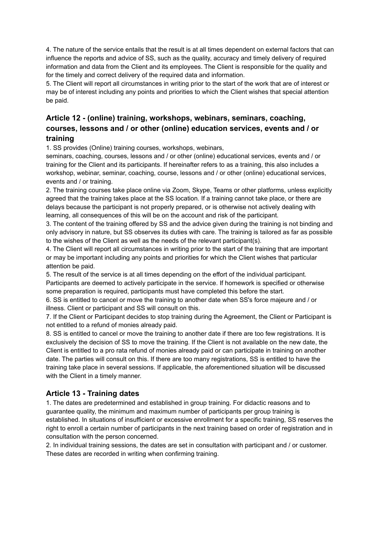4. The nature of the service entails that the result is at all times dependent on external factors that can influence the reports and advice of SS, such as the quality, accuracy and timely delivery of required information and data from the Client and its employees. The Client is responsible for the quality and for the timely and correct delivery of the required data and information.

5. The Client will report all circumstances in writing prior to the start of the work that are of interest or may be of interest including any points and priorities to which the Client wishes that special attention be paid.

# **Article 12 - (online) training, workshops, webinars, seminars, coaching, courses, lessons and / or other (online) education services, events and / or training**

1. SS provides (Online) training courses, workshops, webinars,

seminars, coaching, courses, lessons and / or other (online) educational services, events and / or training for the Client and its participants. If hereinafter refers to as a training, this also includes a workshop, webinar, seminar, coaching, course, lessons and / or other (online) educational services, events and / or training.

2. The training courses take place online via Zoom, Skype, Teams or other platforms, unless explicitly agreed that the training takes place at the SS location. If a training cannot take place, or there are delays because the participant is not properly prepared, or is otherwise not actively dealing with learning, all consequences of this will be on the account and risk of the participant.

3. The content of the training offered by SS and the advice given during the training is not binding and only advisory in nature, but SS observes its duties with care. The training is tailored as far as possible to the wishes of the Client as well as the needs of the relevant participant(s).

4. The Client will report all circumstances in writing prior to the start of the training that are important or may be important including any points and priorities for which the Client wishes that particular attention be paid.

5. The result of the service is at all times depending on the effort of the individual participant. Participants are deemed to actively participate in the service. If homework is specified or otherwise some preparation is required, participants must have completed this before the start.

6. SS is entitled to cancel or move the training to another date when SS's force majeure and / or illness. Client or participant and SS will consult on this.

7. If the Client or Participant decides to stop training during the Agreement, the Client or Participant is not entitled to a refund of monies already paid.

8. SS is entitled to cancel or move the training to another date if there are too few registrations. It is exclusively the decision of SS to move the training. If the Client is not available on the new date, the Client is entitled to a pro rata refund of monies already paid or can participate in training on another date. The parties will consult on this. If there are too many registrations, SS is entitled to have the training take place in several sessions. If applicable, the aforementioned situation will be discussed with the Client in a timely manner.

# **Article 13 - Training dates**

1. The dates are predetermined and established in group training. For didactic reasons and to guarantee quality, the minimum and maximum number of participants per group training is established. In situations of insufficient or excessive enrollment for a specific training, SS reserves the right to enroll a certain number of participants in the next training based on order of registration and in consultation with the person concerned.

2. In individual training sessions, the dates are set in consultation with participant and / or customer. These dates are recorded in writing when confirming training.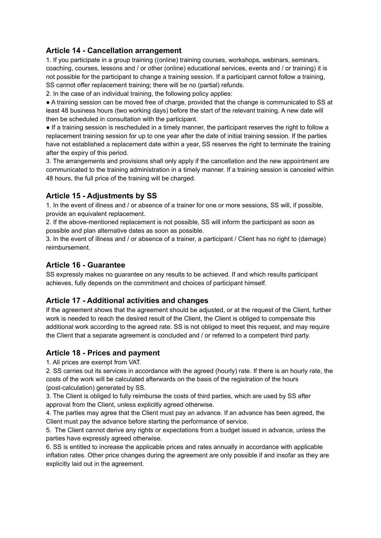# **Article 14 - Cancellation arrangement**

1. If you participate in a group training ((online) training courses, workshops, webinars, seminars, coaching, courses, lessons and / or other (online) educational services, events and / or training) it is not possible for the participant to change a training session. If a participant cannot follow a training, SS cannot offer replacement training; there will be no (partial) refunds.

2. In the case of an individual training, the following policy applies:

● A training session can be moved free of charge, provided that the change is communicated to SS at least 48 business hours (two working days) before the start of the relevant training. A new date will then be scheduled in consultation with the participant.

● If a training session is rescheduled in a timely manner, the participant reserves the right to follow a replacement training session for up to one year after the date of initial training session. If the parties have not established a replacement date within a year, SS reserves the right to terminate the training after the expiry of this period.

3. The arrangements and provisions shall only apply if the cancellation and the new appointment are communicated to the training administration in a timely manner. If a training session is canceled within 48 hours, the full price of the training will be charged.

# **Article 15 - Adjustments by SS**

1. In the event of illness and / or absence of a trainer for one or more sessions, SS will, if possible, provide an equivalent replacement.

2. If the above-mentioned replacement is not possible, SS will inform the participant as soon as possible and plan alternative dates as soon as possible.

3. In the event of illness and / or absence of a trainer, a participant / Client has no right to (damage) reimbursement.

### **Article 16 - Guarantee**

SS expressly makes no guarantee on any results to be achieved. If and which results participant achieves, fully depends on the commitment and choices of participant himself.

# **Article 17 - Additional activities and changes**

If the agreement shows that the agreement should be adjusted, or at the request of the Client, further work is needed to reach the desired result of the Client, the Client is obliged to compensate this additional work according to the agreed rate. SS is not obliged to meet this request, and may require the Client that a separate agreement is concluded and / or referred to a competent third party.

# **Article 18 - Prices and payment**

1. All prices are exempt from VAT.

2. SS carries out its services in accordance with the agreed (hourly) rate. If there is an hourly rate, the costs of the work will be calculated afterwards on the basis of the registration of the hours (post-calculation) generated by SS.

3. The Client is obliged to fully reimburse the costs of third parties, which are used by SS after approval from the Client, unless explicitly agreed otherwise.

4. The parties may agree that the Client must pay an advance. If an advance has been agreed, the Client must pay the advance before starting the performance of service.

5. The Client cannot derive any rights or expectations from a budget issued in advance, unless the parties have expressly agreed otherwise.

6. SS is entitled to increase the applicable prices and rates annually in accordance with applicable inflation rates. Other price changes during the agreement are only possible if and insofar as they are explicitly laid out in the agreement.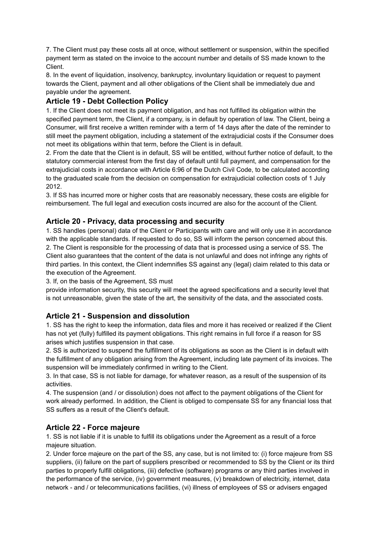7. The Client must pay these costs all at once, without settlement or suspension, within the specified payment term as stated on the invoice to the account number and details of SS made known to the Client.

8. In the event of liquidation, insolvency, bankruptcy, involuntary liquidation or request to payment towards the Client, payment and all other obligations of the Client shall be immediately due and payable under the agreement.

# **Article 19 - Debt Collection Policy**

1. If the Client does not meet its payment obligation, and has not fulfilled its obligation within the specified payment term, the Client, if a company, is in default by operation of law. The Client, being a Consumer, will first receive a written reminder with a term of 14 days after the date of the reminder to still meet the payment obligation, including a statement of the extrajudicial costs if the Consumer does not meet its obligations within that term, before the Client is in default.

2. From the date that the Client is in default, SS will be entitled, without further notice of default, to the statutory commercial interest from the first day of default until full payment, and compensation for the extrajudicial costs in accordance with Article 6:96 of the Dutch Civil Code, to be calculated according to the graduated scale from the decision on compensation for extrajudicial collection costs of 1 July 2012.

3. If SS has incurred more or higher costs that are reasonably necessary, these costs are eligible for reimbursement. The full legal and execution costs incurred are also for the account of the Client.

### **Article 20 - Privacy, data processing and security**

1. SS handles (personal) data of the Client or Participants with care and will only use it in accordance with the applicable standards. If requested to do so, SS will inform the person concerned about this. 2. The Client is responsible for the processing of data that is processed using a service of SS. The Client also guarantees that the content of the data is not unlawful and does not infringe any rights of third parties. In this context, the Client indemnifies SS against any (legal) claim related to this data or the execution of the Agreement.

3. If, on the basis of the Agreement, SS must

provide information security, this security will meet the agreed specifications and a security level that is not unreasonable, given the state of the art, the sensitivity of the data, and the associated costs.

### **Article 21 - Suspension and dissolution**

1. SS has the right to keep the information, data files and more it has received or realized if the Client has not yet (fully) fulfilled its payment obligations. This right remains in full force if a reason for SS arises which justifies suspension in that case.

2. SS is authorized to suspend the fulfillment of its obligations as soon as the Client is in default with the fulfillment of any obligation arising from the Agreement, including late payment of its invoices. The suspension will be immediately confirmed in writing to the Client.

3. In that case, SS is not liable for damage, for whatever reason, as a result of the suspension of its activities.

4. The suspension (and / or dissolution) does not affect to the payment obligations of the Client for work already performed. In addition, the Client is obliged to compensate SS for any financial loss that SS suffers as a result of the Client's default.

### **Article 22 - Force majeure**

1. SS is not liable if it is unable to fulfill its obligations under the Agreement as a result of a force majeure situation.

2. Under force majeure on the part of the SS, any case, but is not limited to: (i) force majeure from SS suppliers, (ii) failure on the part of suppliers prescribed or recommended to SS by the Client or its third parties to properly fulfill obligations, (iii) defective (software) programs or any third parties involved in the performance of the service, (iv) government measures, (v) breakdown of electricity, internet, data network - and / or telecommunications facilities, (vi) illness of employees of SS or advisers engaged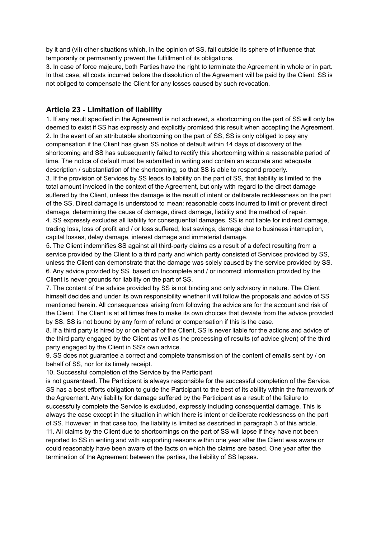by it and (vii) other situations which, in the opinion of SS, fall outside its sphere of influence that temporarily or permanently prevent the fulfillment of its obligations.

3. In case of force majeure, both Parties have the right to terminate the Agreement in whole or in part. In that case, all costs incurred before the dissolution of the Agreement will be paid by the Client. SS is not obliged to compensate the Client for any losses caused by such revocation.

#### **Article 23 - Limitation of liability**

1. If any result specified in the Agreement is not achieved, a shortcoming on the part of SS will only be deemed to exist if SS has expressly and explicitly promised this result when accepting the Agreement. 2. In the event of an attributable shortcoming on the part of SS, SS is only obliged to pay any compensation if the Client has given SS notice of default within 14 days of discovery of the shortcoming and SS has subsequently failed to rectify this shortcoming within a reasonable period of time. The notice of default must be submitted in writing and contain an accurate and adequate description / substantiation of the shortcoming, so that SS is able to respond properly.

3. If the provision of Services by SS leads to liability on the part of SS, that liability is limited to the total amount invoiced in the context of the Agreement, but only with regard to the direct damage suffered by the Client, unless the damage is the result of intent or deliberate recklessness on the part of the SS. Direct damage is understood to mean: reasonable costs incurred to limit or prevent direct damage, determining the cause of damage, direct damage, liability and the method of repair. 4. SS expressly excludes all liability for consequential damages. SS is not liable for indirect damage, trading loss, loss of profit and / or loss suffered, lost savings, damage due to business interruption, capital losses, delay damage, interest damage and immaterial damage.

5. The Client indemnifies SS against all third-party claims as a result of a defect resulting from a service provided by the Client to a third party and which partly consisted of Services provided by SS, unless the Client can demonstrate that the damage was solely caused by the service provided by SS. 6. Any advice provided by SS, based on Incomplete and / or incorrect information provided by the Client is never grounds for liability on the part of SS.

7. The content of the advice provided by SS is not binding and only advisory in nature. The Client himself decides and under its own responsibility whether it will follow the proposals and advice of SS mentioned herein. All consequences arising from following the advice are for the account and risk of the Client. The Client is at all times free to make its own choices that deviate from the advice provided by SS. SS is not bound by any form of refund or compensation if this is the case.

8. If a third party is hired by or on behalf of the Client, SS is never liable for the actions and advice of the third party engaged by the Client as well as the processing of results (of advice given) of the third party engaged by the Client in SS's own advice.

9. SS does not guarantee a correct and complete transmission of the content of emails sent by / on behalf of SS, nor for its timely receipt.

10. Successful completion of the Service by the Participant

is not guaranteed. The Participant is always responsible for the successful completion of the Service. SS has a best efforts obligation to guide the Participant to the best of its ability within the framework of the Agreement. Any liability for damage suffered by the Participant as a result of the failure to successfully complete the Service is excluded, expressly including consequential damage. This is always the case except in the situation in which there is intent or deliberate recklessness on the part of SS. However, in that case too, the liability is limited as described in paragraph 3 of this article. 11. All claims by the Client due to shortcomings on the part of SS will lapse if they have not been reported to SS in writing and with supporting reasons within one year after the Client was aware or could reasonably have been aware of the facts on which the claims are based. One year after the termination of the Agreement between the parties, the liability of SS lapses.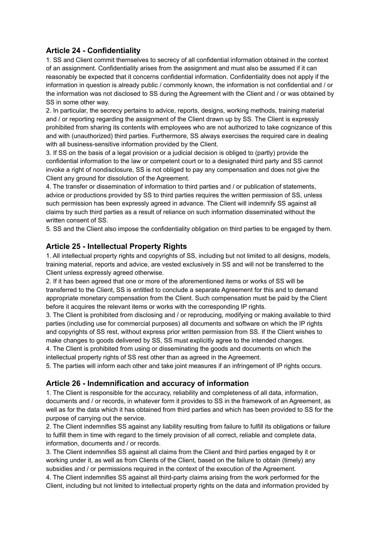# **Article 24 - Confidentiality**

1. SS and Client commit themselves to secrecy of all confidential information obtained in the context of an assignment. Confidentiality arises from the assignment and must also be assumed if it can reasonably be expected that it concerns confidential information. Confidentiality does not apply if the information in question is already public / commonly known, the information is not confidential and / or the information was not disclosed to SS during the Agreement with the Client and / or was obtained by SS in some other way.

2. In particular, the secrecy pertains to advice, reports, designs, working methods, training material and / or reporting regarding the assignment of the Client drawn up by SS. The Client is expressly prohibited from sharing its contents with employees who are not authorized to take cognizance of this and with (unauthorized) third parties. Furthermore, SS always exercises the required care in dealing with all business-sensitive information provided by the Client.

3. If SS on the basis of a legal provision or a judicial decision is obliged to (partly) provide the confidential information to the law or competent court or to a designated third party and SS cannot invoke a right of nondisclosure, SS is not obliged to pay any compensation and does not give the Client any ground for dissolution of the Agreement.

4. The transfer or dissemination of information to third parties and / or publication of statements, advice or productions provided by SS to third parties requires the written permission of SS, unless such permission has been expressly agreed in advance. The Client will indemnify SS against all claims by such third parties as a result of reliance on such information disseminated without the written consent of SS.

5. SS and the Client also impose the confidentiality obligation on third parties to be engaged by them.

### **Article 25 - Intellectual Property Rights**

1. All intellectual property rights and copyrights of SS, including but not limited to all designs, models, training material, reports and advice, are vested exclusively in SS and will not be transferred to the Client unless expressly agreed otherwise.

2. If it has been agreed that one or more of the aforementioned items or works of SS will be transferred to the Client, SS is entitled to conclude a separate Agreement for this and to demand appropriate monetary compensation from the Client. Such compensation must be paid by the Client before it acquires the relevant items or works with the corresponding IP rights.

3. The Client is prohibited from disclosing and / or reproducing, modifying or making available to third parties (including use for commercial purposes) all documents and software on which the IP rights and copyrights of SS rest, without express prior written permission from SS. If the Client wishes to make changes to goods delivered by SS, SS must explicitly agree to the intended changes.

4. The Client is prohibited from using or disseminating the goods and documents on which the intellectual property rights of SS rest other than as agreed in the Agreement.

5. The parties will inform each other and take joint measures if an infringement of IP rights occurs.

### **Article 26 - Indemnification and accuracy of information**

1. The Client is responsible for the accuracy, reliability and completeness of all data, information, documents and / or records, in whatever form it provides to SS in the framework of an Agreement, as well as for the data which it has obtained from third parties and which has been provided to SS for the purpose of carrying out the service.

2. The Client indemnifies SS against any liability resulting from failure to fulfill its obligations or failure to fulfill them in time with regard to the timely provision of all correct, reliable and complete data, information, documents and / or records.

3. The Client indemnifies SS against all claims from the Client and third parties engaged by it or working under it, as well as from Clients of the Client, based on the failure to obtain (timely) any subsidies and / or permissions required in the context of the execution of the Agreement.

4. The Client indemnifies SS against all third-party claims arising from the work performed for the Client, including but not limited to intellectual property rights on the data and information provided by